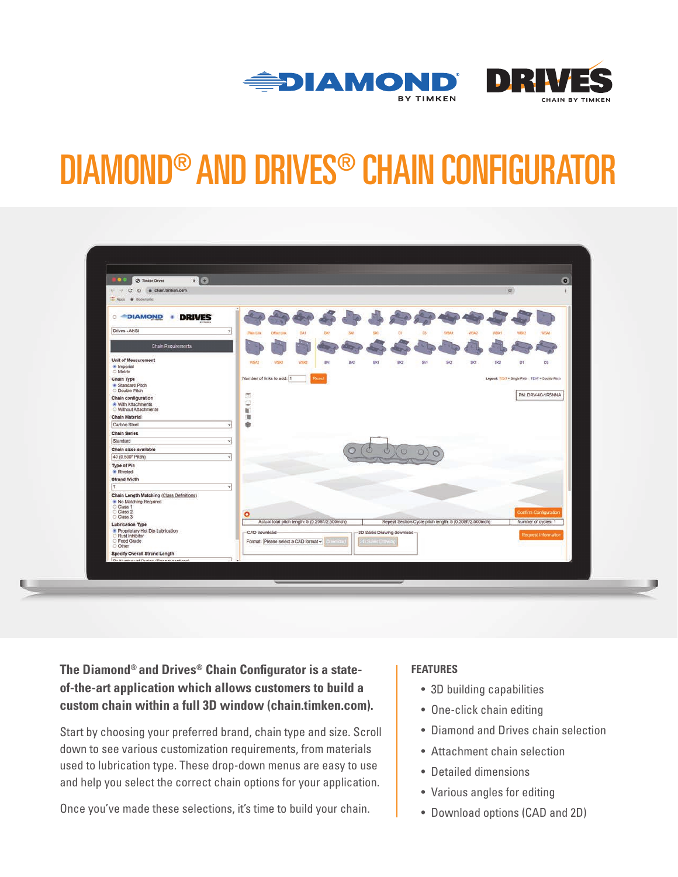



# DIAMOND® AND DRIVES® CHAIN CONFIGURATOR

| $\times$ $\bullet$<br><b>100</b><br><sup>2</sup> Timken Drives                                |                                     |                                                                              |                                      |                                                  |            |                         |                             |                                                          |      |      |              |      |                       | $\bullet$ |
|-----------------------------------------------------------------------------------------------|-------------------------------------|------------------------------------------------------------------------------|--------------------------------------|--------------------------------------------------|------------|-------------------------|-----------------------------|----------------------------------------------------------|------|------|--------------|------|-----------------------|-----------|
| 在。<br>$\leftarrow$ + C<br>O a chain.timken.com<br><b>III</b> Appl * Bookmarks                 |                                     |                                                                              |                                      |                                                  |            |                         |                             |                                                          |      |      |              |      |                       |           |
| <b>DRIVES</b><br><b>DIAMOND</b><br>٠                                                          |                                     |                                                                              |                                      |                                                  |            |                         |                             |                                                          |      |      |              |      |                       |           |
| Drives - ANSI                                                                                 | v<br>Plain Link                     | Offset Link                                                                  | <b>641</b>                           | BKY                                              | <b>SA1</b> | SK1                     | DI.                         | 03                                                       | WBAt | WEA2 | <b>WBIC1</b> | WBIQ | <b>WSA1</b>           |           |
| <b>Chain Requirements</b>                                                                     |                                     |                                                                              |                                      |                                                  |            |                         |                             |                                                          |      |      |              |      |                       |           |
| Unit of Measurement<br>* Imperial<br>O Metric                                                 | WSA2                                | WSKY                                                                         | WSK2                                 | BAt                                              | BA2        | BK1                     | 960                         | Ka-                                                      | 643  | Siri | 535          | n.   | D3                    |           |
| Chain Type<br>· Standard Pitch<br>O Double Pitch                                              |                                     | Number of links to add: 1<br>Legend: TEXT = Single Pitch TEXT = Double Pitch |                                      |                                                  |            |                         |                             |                                                          |      |      |              |      |                       |           |
| Chain configuration<br>* With Attachments<br>O Without Attachments                            | ā<br>$\mathfrak{S}$<br>$\mathbf{U}$ |                                                                              |                                      |                                                  |            |                         |                             |                                                          |      |      |              |      | PN: DRV-40-1R5NNA     |           |
| <b>Chain Material</b>                                                                         | 询                                   |                                                                              |                                      |                                                  |            |                         |                             |                                                          |      |      |              |      |                       |           |
| Carbon Steel                                                                                  | ø                                   |                                                                              |                                      |                                                  |            |                         |                             |                                                          |      |      |              |      |                       |           |
| <b>Chain Series</b>                                                                           |                                     |                                                                              |                                      |                                                  |            |                         |                             |                                                          |      |      |              |      |                       |           |
| Standard                                                                                      | v.                                  |                                                                              |                                      |                                                  |            |                         |                             |                                                          |      |      |              |      |                       |           |
| Chain sizes available                                                                         |                                     |                                                                              |                                      |                                                  |            |                         |                             |                                                          |      |      |              |      |                       |           |
| 40 (0.500" Pitch)                                                                             | ч                                   |                                                                              |                                      |                                                  |            |                         |                             |                                                          |      |      |              |      |                       |           |
| Type of Pin<br>* Riveted                                                                      |                                     |                                                                              |                                      |                                                  |            |                         |                             |                                                          |      |      |              |      |                       |           |
| <b>Strand Width</b><br>١ŧ                                                                     |                                     |                                                                              |                                      |                                                  |            |                         |                             |                                                          |      |      |              |      |                       |           |
| Chain Length Matching (Class Definitions)<br>• No Matching Required<br>O Class 1<br>O Class 2 | ٧<br>$\circ$                        |                                                                              |                                      |                                                  |            |                         |                             |                                                          |      |      |              |      | Confirm Configuration |           |
| C Class 3<br><b>Lubrication Type</b>                                                          |                                     |                                                                              |                                      | Actual total pitch length: 5 (0.208ft/2.500inch) |            |                         |                             | Repeat Section/Cycle pitch length: 5 (0.208ft/2.500inch) |      |      |              |      | Number of cycles: 1   |           |
| Proprietary Hot Dip Lubrication<br>C Food Grade                                               | CAD download-                       |                                                                              | Format: Please select a CAD format v |                                                  |            | <b>O' Sules Drawing</b> | -2D Sales Drawing download- |                                                          |      |      |              |      | Request Information   |           |
| O Other<br><b>Specify Overall Strand Length</b>                                               |                                     |                                                                              |                                      |                                                  |            |                         |                             |                                                          |      |      |              |      |                       |           |
| Du bhobhar af Puelas (Bannat samlans)                                                         |                                     |                                                                              |                                      |                                                  |            |                         |                             |                                                          |      |      |              |      |                       |           |

**The Diamond® and Drives® Chain Configurator is a stateof-the-art application which allows customers to build a custom chain within a full 3D window ([chain.timken.com](https://chain.timken.com/)).**

Start by choosing your preferred brand, chain type and size. Scroll down to see various customization requirements, from materials used to lubrication type. These drop-down menus are easy to use and help you select the correct chain options for your application.

Once you've made these selections, it's time to build your chain.

### **FEATURES**

- 3D building capabilities
- One-click chain editing
- Diamond and Drives chain selection
- Attachment chain selection
- Detailed dimensions
- Various angles for editing
- Download options (CAD and 2D)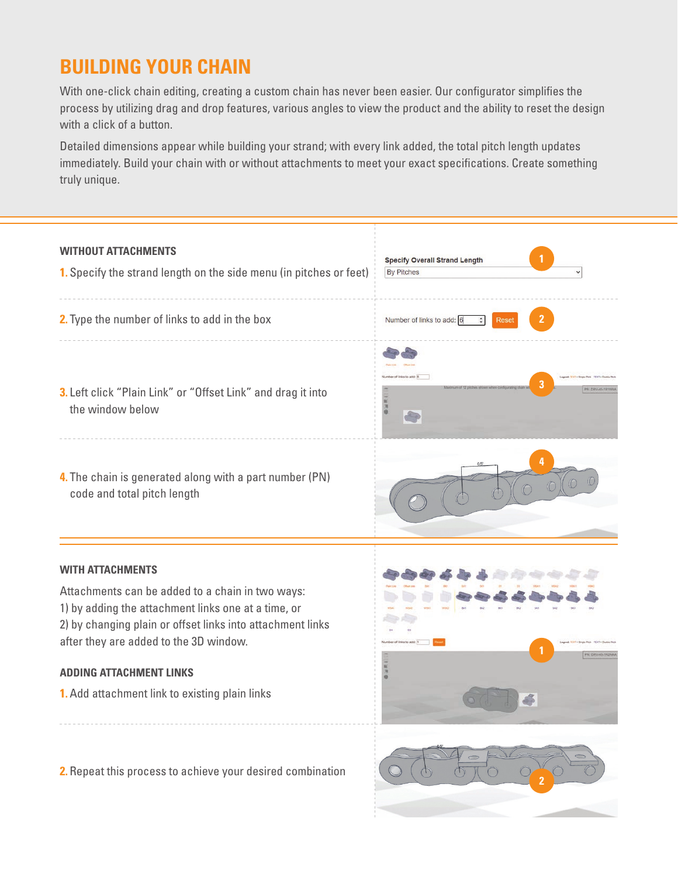## **BUILDING YOUR CHAIN**

With one-click chain editing, creating a custom chain has never been easier. Our configurator simplifies the process by utilizing drag and drop features, various angles to view the product and the ability to reset the design with a click of a button.

Detailed dimensions appear while building your strand; with every link added, the total pitch length updates immediately. Build your chain with or without attachments to meet your exact specifications. Create something truly unique.

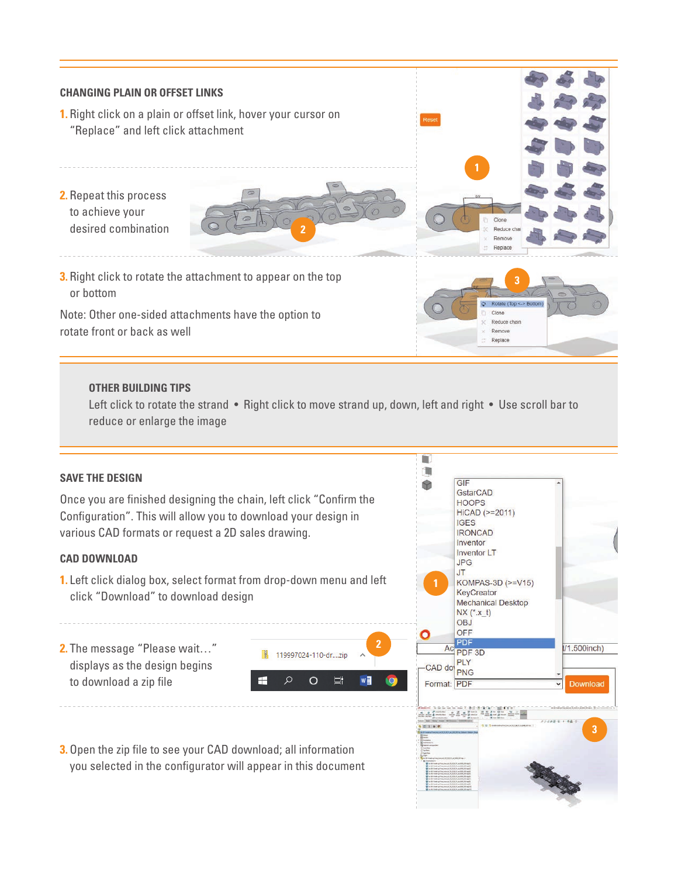

### **CAD DOWNLOAD**

- **1.** Left click dialog box, select format from drop-down menu and left click "Download" to download design
- **2.** The message "Please wait…" displays as the design begins to download a zip file



**3.**Open the zip file to see your CAD download; all information you selected in the configurator will appear in this document